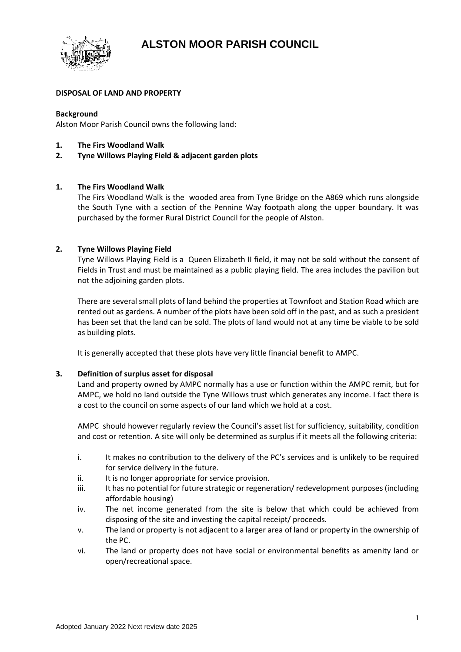**ALSTON MOOR PARISH COUNCIL**



# **DISPOSAL OF LAND AND PROPERTY**

### **Background**

Alston Moor Parish Council owns the following land:

- **1. The Firs Woodland Walk**
- **2. Tyne Willows Playing Field & adjacent garden plots**

# **1. The Firs Woodland Walk**

The Firs Woodland Walk is the wooded area from Tyne Bridge on the A869 which runs alongside the South Tyne with a section of the Pennine Way footpath along the upper boundary. It was purchased by the former Rural District Council for the people of Alston.

# **2. Tyne Willows Playing Field**

Tyne Willows Playing Field is a Queen Elizabeth II field, it may not be sold without the consent of Fields in Trust and must be maintained as a public playing field. The area includes the pavilion but not the adjoining garden plots.

There are several small plots of land behind the properties at Townfoot and Station Road which are rented out as gardens. A number of the plots have been sold off in the past, and as such a president has been set that the land can be sold. The plots of land would not at any time be viable to be sold as building plots.

It is generally accepted that these plots have very little financial benefit to AMPC.

#### **3. Definition of surplus asset for disposal**

Land and property owned by AMPC normally has a use or function within the AMPC remit, but for AMPC, we hold no land outside the Tyne Willows trust which generates any income. I fact there is a cost to the council on some aspects of our land which we hold at a cost.

AMPC should however regularly review the Council's asset list for sufficiency, suitability, condition and cost or retention. A site will only be determined as surplus if it meets all the following criteria:

- i. It makes no contribution to the delivery of the PC's services and is unlikely to be required for service delivery in the future.
- ii. It is no longer appropriate for service provision.
- iii. It has no potential for future strategic or regeneration/ redevelopment purposes (including affordable housing)
- iv. The net income generated from the site is below that which could be achieved from disposing of the site and investing the capital receipt/ proceeds.
- v. The land or property is not adjacent to a larger area of land or property in the ownership of the PC.
- vi. The land or property does not have social or environmental benefits as amenity land or open/recreational space.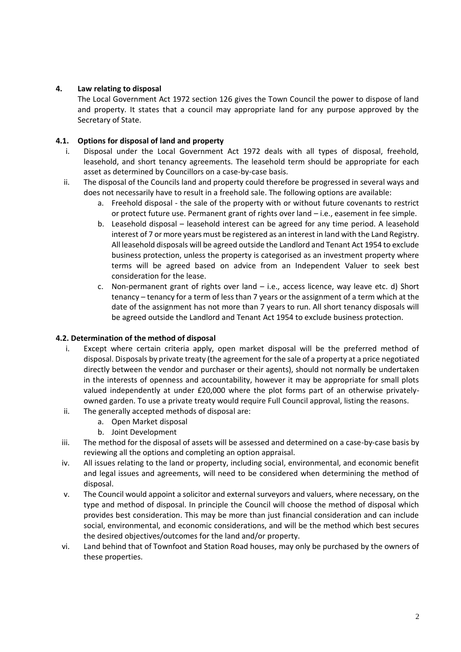# **4. Law relating to disposal**

The Local Government Act 1972 section 126 gives the Town Council the power to dispose of land and property. It states that a council may appropriate land for any purpose approved by the Secretary of State.

# **4.1. Options for disposal of land and property**

- i. Disposal under the Local Government Act 1972 deals with all types of disposal, freehold, leasehold, and short tenancy agreements. The leasehold term should be appropriate for each asset as determined by Councillors on a case-by-case basis.
- ii. The disposal of the Councils land and property could therefore be progressed in several ways and does not necessarily have to result in a freehold sale. The following options are available:
	- a. Freehold disposal the sale of the property with or without future covenants to restrict or protect future use. Permanent grant of rights over land – i.e., easement in fee simple.
	- b. Leasehold disposal leasehold interest can be agreed for any time period. A leasehold interest of 7 or more years must be registered as an interest in land with the Land Registry. All leasehold disposals will be agreed outside the Landlord and Tenant Act 1954 to exclude business protection, unless the property is categorised as an investment property where terms will be agreed based on advice from an Independent Valuer to seek best consideration for the lease.
	- c. Non-permanent grant of rights over land i.e., access licence, way leave etc. d) Short tenancy – tenancy for a term of less than 7 years or the assignment of a term which at the date of the assignment has not more than 7 years to run. All short tenancy disposals will be agreed outside the Landlord and Tenant Act 1954 to exclude business protection.

#### **4.2. Determination of the method of disposal**

- i. Except where certain criteria apply, open market disposal will be the preferred method of disposal. Disposals by private treaty (the agreement for the sale of a property at a price negotiated directly between the vendor and purchaser or their agents), should not normally be undertaken in the interests of openness and accountability, however it may be appropriate for small plots valued independently at under £20,000 where the plot forms part of an otherwise privatelyowned garden. To use a private treaty would require Full Council approval, listing the reasons.
- ii. The generally accepted methods of disposal are:
	- a. Open Market disposal
	- b. Joint Development
- iii. The method for the disposal of assets will be assessed and determined on a case-by-case basis by reviewing all the options and completing an option appraisal.
- iv. All issues relating to the land or property, including social, environmental, and economic benefit and legal issues and agreements, will need to be considered when determining the method of disposal.
- v. The Council would appoint a solicitor and external surveyors and valuers, where necessary, on the type and method of disposal. In principle the Council will choose the method of disposal which provides best consideration. This may be more than just financial consideration and can include social, environmental, and economic considerations, and will be the method which best secures the desired objectives/outcomes for the land and/or property.
- vi. Land behind that of Townfoot and Station Road houses, may only be purchased by the owners of these properties.